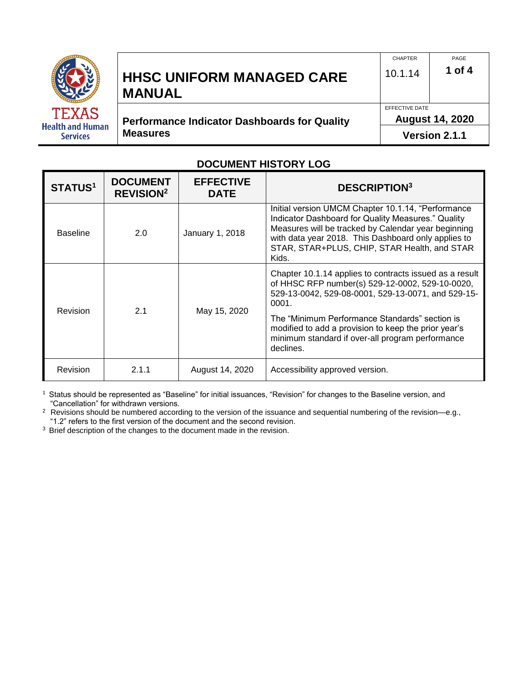

# **HHSC UNIFORM MANAGED CARE MANUAL**

**Performance Indicator Dashboards for Quality Measures** 

EFFECTIVE DATE **August 14, 2020** 

PAGE

**1 of 4**

CHAPTER 10.1.14

**Version 2.1.1**

#### **DOCUMENT HISTORY LOG**

| <b>DOCUMENT</b><br><b>STATUS1</b><br><b>REVISION<sup>2</sup></b> |       | <b>EFFECTIVE</b><br><b>DATE</b> | <b>DESCRIPTION3</b>                                                                                                                                                                                                                                                             |  |  |  |  |  |
|------------------------------------------------------------------|-------|---------------------------------|---------------------------------------------------------------------------------------------------------------------------------------------------------------------------------------------------------------------------------------------------------------------------------|--|--|--|--|--|
| <b>Baseline</b>                                                  | 2.0   | January 1, 2018                 | Initial version UMCM Chapter 10.1.14, "Performance<br>Indicator Dashboard for Quality Measures." Quality<br>Measures will be tracked by Calendar year beginning<br>with data year 2018. This Dashboard only applies to<br>STAR, STAR+PLUS, CHIP, STAR Health, and STAR<br>Kids. |  |  |  |  |  |
| Revision                                                         | 2.1   | May 15, 2020                    | Chapter 10.1.14 applies to contracts issued as a result<br>of HHSC RFP number(s) 529-12-0002, 529-10-0020,<br>529-13-0042, 529-08-0001, 529-13-0071, and 529-15-<br>0001.                                                                                                       |  |  |  |  |  |
|                                                                  |       |                                 | The "Minimum Performance Standards" section is<br>modified to add a provision to keep the prior year's<br>minimum standard if over-all program performance<br>declines.                                                                                                         |  |  |  |  |  |
| <b>Revision</b>                                                  | 2.1.1 | August 14, 2020                 | Accessibility approved version.                                                                                                                                                                                                                                                 |  |  |  |  |  |

<sup>1</sup> Status should be represented as "Baseline" for initial issuances, "Revision" for changes to the Baseline version, and "Cancellation" for withdrawn versions.

<sup>2</sup> Revisions should be numbered according to the version of the issuance and sequential numbering of the revision—e.g., "1.2" refers to the first version of the document and the second revision.

<sup>3</sup> Brief description of the changes to the document made in the revision.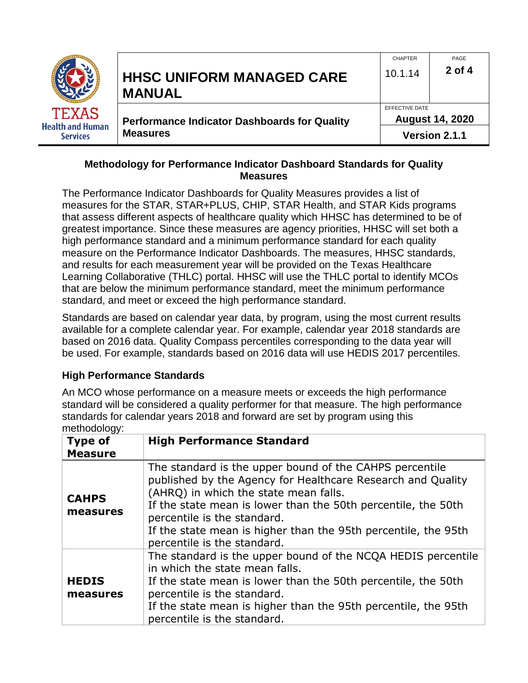

#### **Methodology for Performance Indicator Dashboard Standards for Quality Measures**

The Performance Indicator Dashboards for Quality Measures provides a list of measures for the STAR, STAR+PLUS, CHIP, STAR Health, and STAR Kids programs that assess different aspects of healthcare quality which HHSC has determined to be of greatest importance. Since these measures are agency priorities, HHSC will set both a high performance standard and a minimum performance standard for each quality measure on the Performance Indicator Dashboards. The measures, HHSC standards, and results for each measurement year will be provided on the Texas Healthcare Learning Collaborative (THLC) portal. HHSC will use the THLC portal to identify MCOs that are below the minimum performance standard, meet the minimum performance standard, and meet or exceed the high performance standard.

Standards are based on calendar year data, by program, using the most current results available for a complete calendar year. For example, calendar year 2018 standards are based on 2016 data. Quality Compass percentiles corresponding to the data year will be used. For example, standards based on 2016 data will use HEDIS 2017 percentiles.

#### **High Performance Standards**

An MCO whose performance on a measure meets or exceeds the high performance standard will be considered a quality performer for that measure. The high performance standards for calendar years 2018 and forward are set by program using this methodology:

| <b>Type of</b><br><b>Measure</b> | <b>High Performance Standard</b>                                                                                                                                                                                                                                                                                                                                 |
|----------------------------------|------------------------------------------------------------------------------------------------------------------------------------------------------------------------------------------------------------------------------------------------------------------------------------------------------------------------------------------------------------------|
| <b>CAHPS</b><br>measures         | The standard is the upper bound of the CAHPS percentile<br>published by the Agency for Healthcare Research and Quality<br>(AHRQ) in which the state mean falls.<br>If the state mean is lower than the 50th percentile, the 50th<br>percentile is the standard.<br>If the state mean is higher than the 95th percentile, the 95th<br>percentile is the standard. |
| <b>HEDIS</b><br>measures         | The standard is the upper bound of the NCQA HEDIS percentile<br>in which the state mean falls.<br>If the state mean is lower than the 50th percentile, the 50th<br>percentile is the standard.<br>If the state mean is higher than the 95th percentile, the 95th<br>percentile is the standard.                                                                  |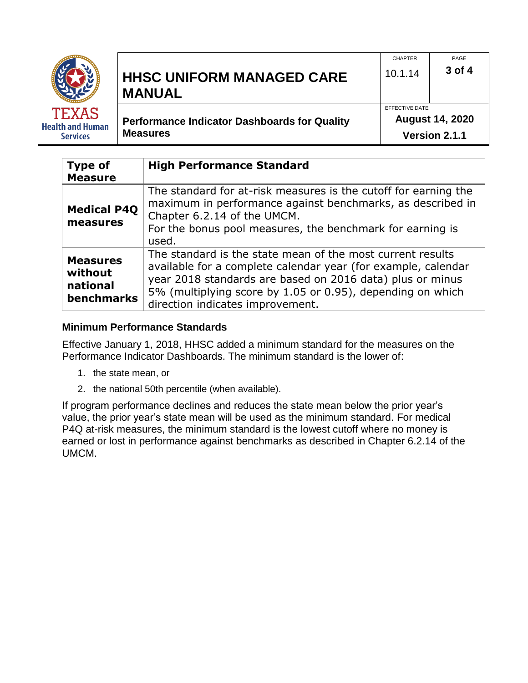|                                                            | <b>HHSC UNIFORM MANAGED CARE</b>                                       | <b>CHAPTER</b>                                            | PAGE   |  |  |
|------------------------------------------------------------|------------------------------------------------------------------------|-----------------------------------------------------------|--------|--|--|
|                                                            | <b>MANUAL</b>                                                          | 10.1.14                                                   | 3 of 4 |  |  |
| <b>TEXAS</b><br><b>Health and Human</b><br><b>Services</b> | <b>Performance Indicator Dashboards for Quality</b><br><b>Measures</b> | EFFECTIVE DATE<br><b>August 14, 2020</b><br>Version 2.1.1 |        |  |  |

| <b>Type of</b><br><b>Measure</b>                            | <b>High Performance Standard</b>                                                                                                                                                                                                                                                           |
|-------------------------------------------------------------|--------------------------------------------------------------------------------------------------------------------------------------------------------------------------------------------------------------------------------------------------------------------------------------------|
| <b>Medical P4Q</b><br>measures                              | The standard for at-risk measures is the cutoff for earning the<br>maximum in performance against benchmarks, as described in<br>Chapter 6.2.14 of the UMCM.<br>For the bonus pool measures, the benchmark for earning is<br>used.                                                         |
| <b>Measures</b><br>without<br>national<br><b>benchmarks</b> | The standard is the state mean of the most current results<br>available for a complete calendar year (for example, calendar<br>year 2018 standards are based on 2016 data) plus or minus<br>5% (multiplying score by 1.05 or 0.95), depending on which<br>direction indicates improvement. |

#### **Minimum Performance Standards**

Effective January 1, 2018, HHSC added a minimum standard for the measures on the Performance Indicator Dashboards. The minimum standard is the lower of:

- 1. the state mean, or
- 2. the national 50th percentile (when available).

If program performance declines and reduces the state mean below the prior year's value, the prior year's state mean will be used as the minimum standard. For medical P4Q at-risk measures, the minimum standard is the lowest cutoff where no money is earned or lost in performance against benchmarks as described in Chapter 6.2.14 of the UMCM.